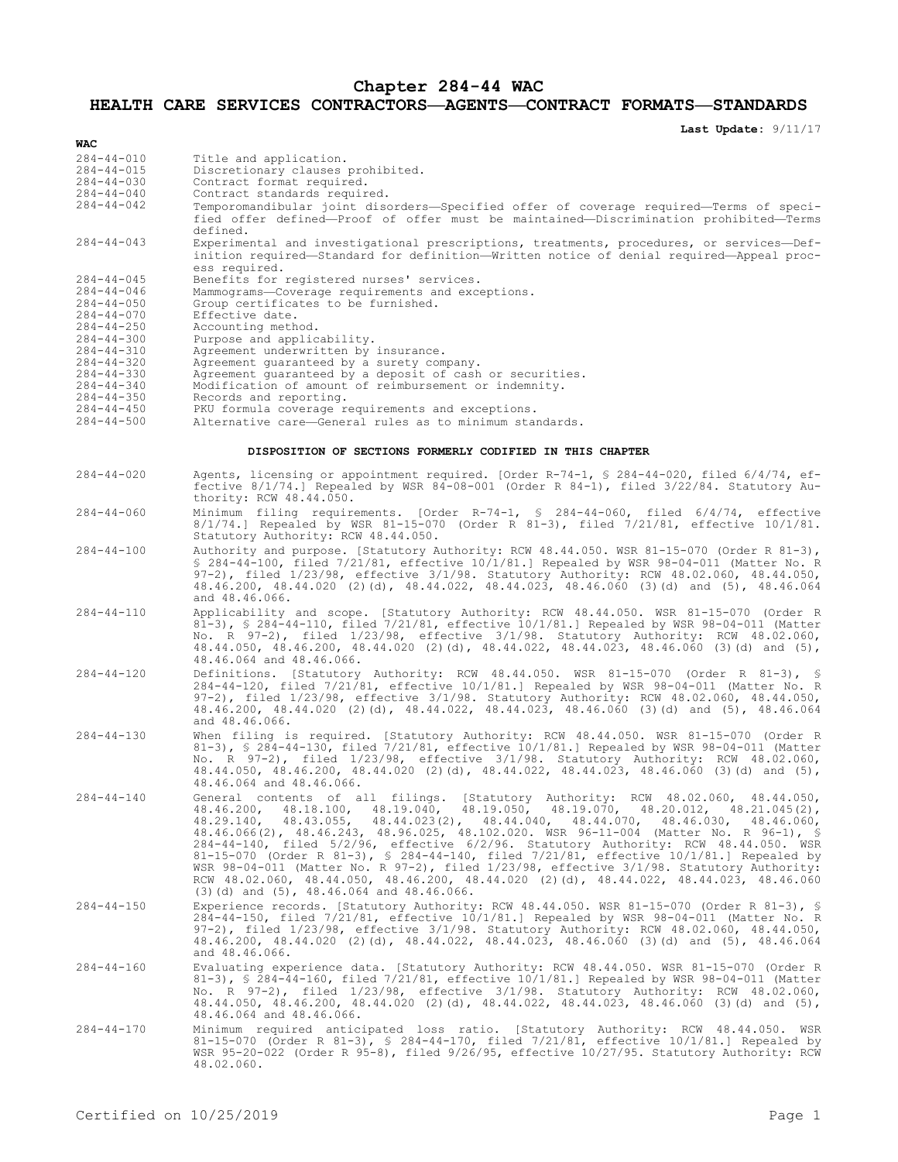## **Chapter 284-44 WAC**

**HEALTH CARE SERVICES CONTRACTORS—AGENTS—CONTRACT FORMATS—STANDARDS**

**Last Update:** 9/11/17

| WAC                                                                                                                  |                                                                                                                                                                                                                                                                                                                                                                                                                                                                                                                                                                                                                                                                                                                                                                                                                           |
|----------------------------------------------------------------------------------------------------------------------|---------------------------------------------------------------------------------------------------------------------------------------------------------------------------------------------------------------------------------------------------------------------------------------------------------------------------------------------------------------------------------------------------------------------------------------------------------------------------------------------------------------------------------------------------------------------------------------------------------------------------------------------------------------------------------------------------------------------------------------------------------------------------------------------------------------------------|
| $284 - 44 - 010$<br>$284 - 44 - 015$<br>$284 - 44 - 030$<br>$284 - 44 - 040$                                         | Title and application.<br>Discretionary clauses prohibited.<br>Contract format required.<br>Contract standards required.                                                                                                                                                                                                                                                                                                                                                                                                                                                                                                                                                                                                                                                                                                  |
| $284 - 44 - 042$                                                                                                     | Temporomandibular joint disorders—Specified offer of coverage required—Terms of speci-<br>fied offer defined-Proof of offer must be maintained-Discrimination prohibited-Terms<br>defined.                                                                                                                                                                                                                                                                                                                                                                                                                                                                                                                                                                                                                                |
| $284 - 44 - 043$                                                                                                     | Experimental and investigational prescriptions, treatments, procedures, or services-Def-<br>inition required—Standard for definition—Written notice of denial required—Appeal proc-<br>ess required.                                                                                                                                                                                                                                                                                                                                                                                                                                                                                                                                                                                                                      |
| $284 - 44 - 045$<br>$284 - 44 - 046$<br>$284 - 44 - 050$<br>$284 - 44 - 070$<br>$284 - 44 - 250$<br>$284 - 44 - 300$ | Benefits for registered nurses' services.<br>Mammograms-Coverage requirements and exceptions.<br>Group certificates to be furnished.<br>Effective date.<br>Accounting method.<br>Purpose and applicability.                                                                                                                                                                                                                                                                                                                                                                                                                                                                                                                                                                                                               |
| $284 - 44 - 310$<br>$284 - 44 - 320$<br>$284 - 44 - 330$                                                             | Agreement underwritten by insurance.<br>Agreement guaranteed by a surety company.<br>Agreement guaranteed by a deposit of cash or securities.                                                                                                                                                                                                                                                                                                                                                                                                                                                                                                                                                                                                                                                                             |
| $284 - 44 - 340$<br>$284 - 44 - 350$<br>$284 - 44 - 450$<br>$284 - 44 - 500$                                         | Modification of amount of reimbursement or indemnity.<br>Records and reporting.<br>PKU formula coverage requirements and exceptions.<br>Alternative care-General rules as to minimum standards.                                                                                                                                                                                                                                                                                                                                                                                                                                                                                                                                                                                                                           |
| DISPOSITION OF SECTIONS FORMERLY CODIFIED IN THIS CHAPTER                                                            |                                                                                                                                                                                                                                                                                                                                                                                                                                                                                                                                                                                                                                                                                                                                                                                                                           |
| $284 - 44 - 020$                                                                                                     | Agents, licensing or appointment required. [Order R-74-1, § 284-44-020, filed 6/4/74, ef-<br>fective $8/1/74$ .] Repealed by WSR 84-08-001 (Order R 84-1), filed $3/22/84$ . Statutory Au-<br>thority: RCW 48.44.050.                                                                                                                                                                                                                                                                                                                                                                                                                                                                                                                                                                                                     |
| $284 - 44 - 060$                                                                                                     | Minimum filing requirements. [Order R-74-1, § 284-44-060, filed 6/4/74, effective<br>8/1/74.] Repealed by WSR 81-15-070 (Order R 81-3), filed 7/21/81, effective 10/1/81.<br>Statutory Authority: RCW 48.44.050.                                                                                                                                                                                                                                                                                                                                                                                                                                                                                                                                                                                                          |
| $284 - 44 - 100$                                                                                                     | Authority and purpose. [Statutory Authority: RCW 48.44.050. WSR 81-15-070 (Order R 81-3),<br>\$ 284-44-100, filed 7/21/81, effective 10/1/81.] Repealed by WSR 98-04-011 (Matter No. R<br>97-2), filed 1/23/98, effective 3/1/98. Statutory Authority: RCW 48.02.060, 48.44.050,<br>48.46.200, 48.44.020 (2)(d), 48.44.022, 48.44.023, 48.46.060 (3)(d) and (5), 48.46.064<br>and 48.46.066.                                                                                                                                                                                                                                                                                                                                                                                                                              |
| $284 - 44 - 110$                                                                                                     | Applicability and scope. [Statutory Authority: RCW 48.44.050. WSR 81-15-070 (Order R<br>81-3), $\frac{6}{100}$ 284-44-110, filed 7/21/81, effective 10/1/81.] Repealed by WSR 98-04-011 (Matter<br>No. R $97-2$ ), filed $1/23/98$ , effective $3/1/98$ . Statutory Authority: RCW 48.02.060,<br>48.44.050, 48.46.200, 48.44.020 (2)(d), 48.44.022, 48.44.023, 48.46.060 (3)(d) and (5),<br>48.46.064 and 48.46.066.                                                                                                                                                                                                                                                                                                                                                                                                      |
| $284 - 44 - 120$                                                                                                     | Definitions. [Statutory Authority: RCW 48.44.050. WSR 81-15-070 (Order R 81-3), §<br>$284-44-120$ , filed $7/21/81$ , effective $10/1/81$ . Repealed by WSR 98-04-011 (Matter No. R<br>97-2), filed 1/23/98, effective 3/1/98. Statutory Authority: RCW 48.02.060, 48.44.050,<br>48.46.200, 48.44.020 (2)(d), 48.44.022, 48.44.023, 48.46.060 (3)(d) and (5), 48.46.064<br>and 48.46.066.                                                                                                                                                                                                                                                                                                                                                                                                                                 |
| $284 - 44 - 130$                                                                                                     | When filing is required. [Statutory Authority: RCW 48.44.050. WSR 81-15-070 (Order R<br>81-3), § 284-44-130, filed 7/21/81, effective 10/1/81.] Repealed by WSR 98-04-011 (Matter<br>No. R 97-2), filed 1/23/98, effective 3/1/98. Statutory Authority: RCW 48.02.060,<br>48.44.050, 48.46.200, 48.44.020 (2)(d), 48.44.022, 48.44.023, 48.46.060 (3)(d) and (5),<br>48.46.064 and 48.46.066.                                                                                                                                                                                                                                                                                                                                                                                                                             |
| $284 - 44 - 140$                                                                                                     | General contents of all filings. [Statutory Authority: RCW 48.02.060,<br>48.44.050,<br>$48.18.100$ , $48.19.040$ , $48.19.050$ , $48.19.070$ , $48.20.012$ , $48.21.045(2)$ ,<br>48.46.200,<br>$48.43.055$ , $48.44.023(2)$ , $48.44.040$ ,<br>48.44.070,<br>48.29.140.<br>48.46.030.<br>48.46.060,<br>48.46.066(2), 48.46.243, 48.96.025, 48.102.020. WSR 96-11-004 (Matter No. R 96-1), §<br>284-44-140, filed 5/2/96, effective 6/2/96. Statutory Authority: RCW 48.44.050. WSR<br>81-15-070 (Order R 81-3), § 284-44-140, filed 7/21/81, effective 10/1/81.] Repealed by<br>WSR 98-04-011 (Matter No. R 97-2), filed 1/23/98, effective 3/1/98. Statutory Authority:<br>RCW 48.02.060, 48.44.050, 48.46.200, 48.44.020 (2)(d), 48.44.022, 48.44.023, 48.46.060<br>$(3)$ (d) and $(5)$ , $48.46.064$ and $48.46.066$ . |
| $284 - 44 - 150$                                                                                                     | Experience records. [Statutory Authority: RCW 48.44.050. WSR 81-15-070 (Order R 81-3), §<br>284-44-150, filed 7/21/81, effective 10/1/81.] Repealed by WSR 98-04-011 (Matter No. R<br>97-2), filed 1/23/98, effective 3/1/98. Statutory Authority: RCW 48.02.060, 48.44.050,<br>48.46.200, 48.44.020 (2)(d), 48.44.022, 48.44.023, 48.46.060 (3)(d) and (5), 48.46.064<br>and 48.46.066.                                                                                                                                                                                                                                                                                                                                                                                                                                  |
| $284 - 44 - 160$                                                                                                     | Evaluating experience data. [Statutory Authority: RCW 48.44.050. WSR 81-15-070 (Order R<br>81-3), § 284-44-160, filed 7/21/81, effective 10/1/81.] Repealed by WSR 98-04-011 (Matter<br>No. R 97-2), filed 1/23/98, effective 3/1/98. Statutory Authority: RCW 48.02.060,<br>48.44.050, 48.46.200, 48.44.020 (2)(d), 48.44.022, 48.44.023, 48.46.060 (3)(d) and (5),<br>48.46.064 and 48.46.066.                                                                                                                                                                                                                                                                                                                                                                                                                          |
| $284 - 44 - 170$                                                                                                     | Minimum required anticipated loss ratio. [Statutory Authority: RCW 48.44.050. WSR<br>81-15-070 (Order R 81-3), § 284-44-170, filed 7/21/81, effective 10/1/81.] Repealed by<br>WSR 95-20-022 (Order R 95-8), filed 9/26/95, effective 10/27/95. Statutory Authority: RCW<br>48.02.060.                                                                                                                                                                                                                                                                                                                                                                                                                                                                                                                                    |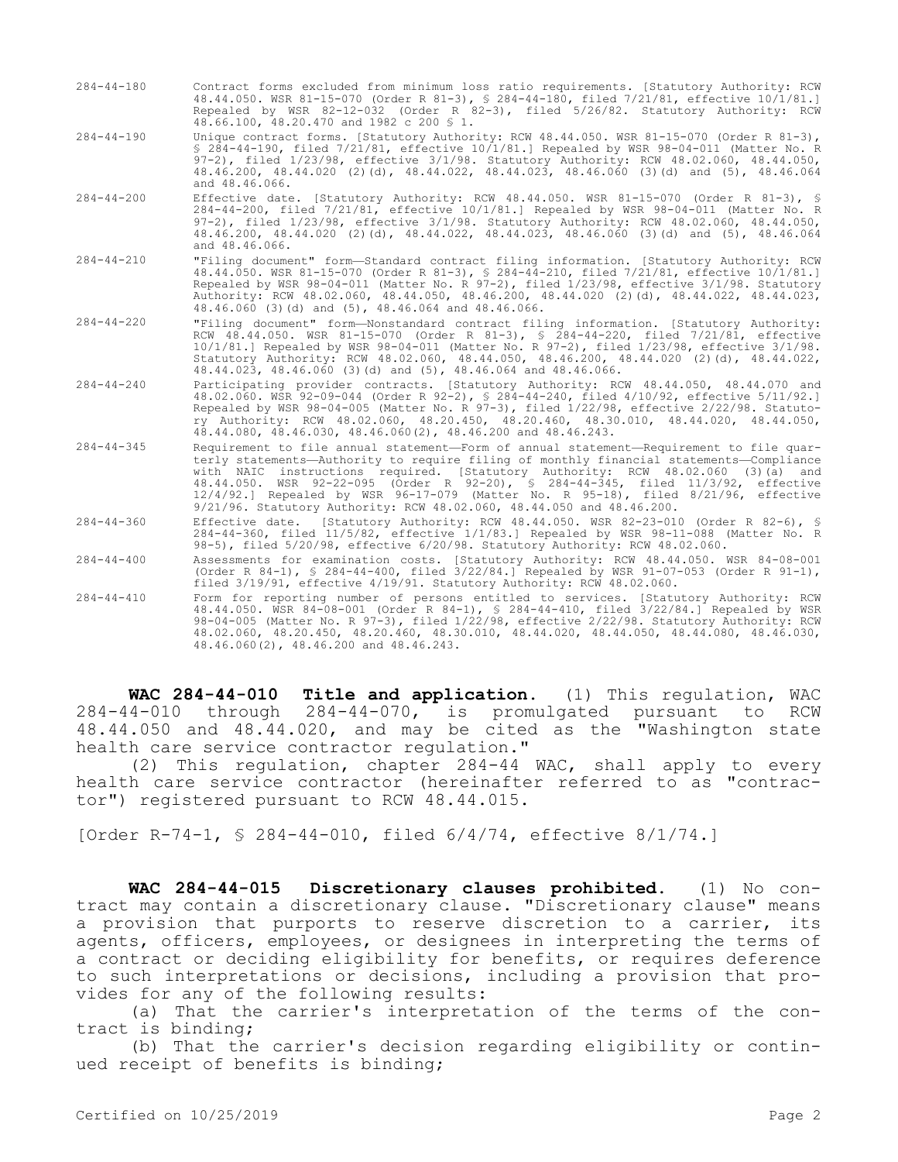- 284-44-180 Contract forms excluded from minimum loss ratio requirements. [Statutory Authority: RCW 48.44.050. WSR 81-15-070 (Order R 81-3), § 284-44-180, filed 7/21/81, effective 10/1/81.] Repealed by WSR 82-12-032 (Order R 82-3), filed 5/26/82. Statutory Authority: RCW 48.66.100, 48.20.470 and 1982 c 200 § 1.
- 284-44-190 Unique contract forms. [Statutory Authority: RCW 48.44.050. WSR 81-15-070 (Order R 81-3), § 284-44-190, filed 7/21/81, effective 10/1/81.] Repealed by WSR 98-04-011 (Matter No. R 97-2), filed 1/23/98, effective 3/1/98. Statutory Authority: RCW 48.02.060, 48.44.050, 48.46.200, 48.44.020 (2)(d), 48.44.022, 48.44.023, 48.46.060 (3)(d) and (5), 48.46.064 and 48.46.066.
- 284-44-200 Effective date. [Statutory Authority: RCW 48.44.050. WSR 81-15-070 (Order R 81-3), § 284-44-200, filed 7/21/81, effective 10/1/81.] Repealed by WSR 98-04-011 (Matter No. R 97-2), filed 1/23/98, effective 3/1/98. Statutory Authority: RCW 48.02.060, 48.44.050, 48.46.200, 48.44.020 (2)(d), 48.44.022, 48.44.023, 48.46.060 (3)(d) and (5), 48.46.064 and 48.46.066.
- 284-44-210 "Filing document" form—Standard contract filing information. [Statutory Authority: RCW 48.44.050. WSR 81-15-070 (Order R 81-3), § 284-44-210, filed 7/21/81, effective 10/1/81.] Repealed by WSR 98-04-011 (Matter No. R 97-2), filed 1/23/98, effective 3/1/98. Statutory Authority: RCW 48.02.060, 48.44.050, 48.46.200, 48.44.020 (2)(d), 48.44.022, 48.44.023, 48.46.060 (3)(d) and (5), 48.46.064 and 48.46.066.
- 284-44-220 "Filing document" form—Nonstandard contract filing information. [Statutory Authority: RCW 48.44.050. WSR 81-15-070 (Order R 81-3), § 284-44-220, filed 7/21/81, effective 10/1/81.] Repealed by WSR 98-04-011 (Matter No. R 97-2), filed 1/23/98, effective 3/1/98. Statutory Authority: RCW 48.02.060, 48.44.050, 48.46.200, 48.44.020 (2)(d), 48.44.022, 48.44.023, 48.46.060 (3)(d) and (5), 48.46.064 and 48.46.066.
- 284-44-240 Participating provider contracts. [Statutory Authority: RCW 48.44.050, 48.44.070 and 48.02.060. WSR 92-09-044 (Order R 92-2), § 284-44-240, filed 4/10/92, effective 5/11/92.] Repealed by WSR 98-04-005 (Matter No. R 97-3), filed 1/22/98, effective 2/22/98. Statutory Authority: RCW 48.02.060, 48.20.450, 48.20.460, 48.30.010, 48.44.020, 48.44.050, 48.44.080, 48.46.030, 48.46.060(2), 48.46.200 and 48.46.243.
- 284-44-345 Requirement to file annual statement—Form of annual statement—Requirement to file quarterly statements—Authority to require filing of monthly financial statements—Compliance with NAIC instructions required. [Statutory Authority: RCW 48.02.060 (3)(a) and 48.44.050. WSR 92-22-095 (Order R 92-20), § 284-44-345, filed 11/3/92, effective 12/4/92.] Repealed by WSR 96-17-079 (Matter No. R 95-18), filed 8/21/96, effective 9/21/96. Statutory Authority: RCW 48.02.060, 48.44.050 and 48.46.200.
- 284-44-360 Effective date. [Statutory Authority: RCW 48.44.050. WSR 82-23-010 (Order R 82-6), § 284-44-360, filed 11/5/82, effective 1/1/83.] Repealed by WSR 98-11-088 (Matter No. R 98-5), filed 5/20/98, effective 6/20/98. Statutory Authority: RCW 48.02.060.
- 284-44-400 Assessments for examination costs. [Statutory Authority: RCW 48.44.050. WSR 84-08-001 (Order R 84-1), § 284-44-400, filed 3/22/84.] Repealed by WSR 91-07-053 (Order R 91-1), filed 3/19/91, effective 4/19/91. Statutory Authority: RCW 48.02.060.
- 284-44-410 Form for reporting number of persons entitled to services. [Statutory Authority: RCW 48.44.050. WSR 84-08-001 (Order R 84-1), § 284-44-410, filed 3/22/84.] Repealed by WSR 98-04-005 (Matter No. R 97-3), filed 1/22/98, effective 2/22/98. Statutory Authority: RCW 48.02.060, 48.20.450, 48.20.460, 48.30.010, 48.44.020, 48.44.050, 48.44.080, 48.46.030, 48.46.060(2), 48.46.200 and 48.46.243.

**WAC 284-44-010 Title and application.** (1) This regulation, WAC 284-44-010 through 284-44-070, is promulgated pursuant to RCW 48.44.050 and 48.44.020, and may be cited as the "Washington state health care service contractor regulation."

(2) This regulation, chapter 284-44 WAC, shall apply to every health care service contractor (hereinafter referred to as "contractor") registered pursuant to RCW 48.44.015.

[Order R-74-1, § 284-44-010, filed 6/4/74, effective 8/1/74.]

**WAC 284-44-015 Discretionary clauses prohibited.** (1) No contract may contain a discretionary clause. "Discretionary clause" means a provision that purports to reserve discretion to a carrier, its agents, officers, employees, or designees in interpreting the terms of a contract or deciding eligibility for benefits, or requires deference to such interpretations or decisions, including a provision that provides for any of the following results:

(a) That the carrier's interpretation of the terms of the contract is binding;

(b) That the carrier's decision regarding eligibility or continued receipt of benefits is binding;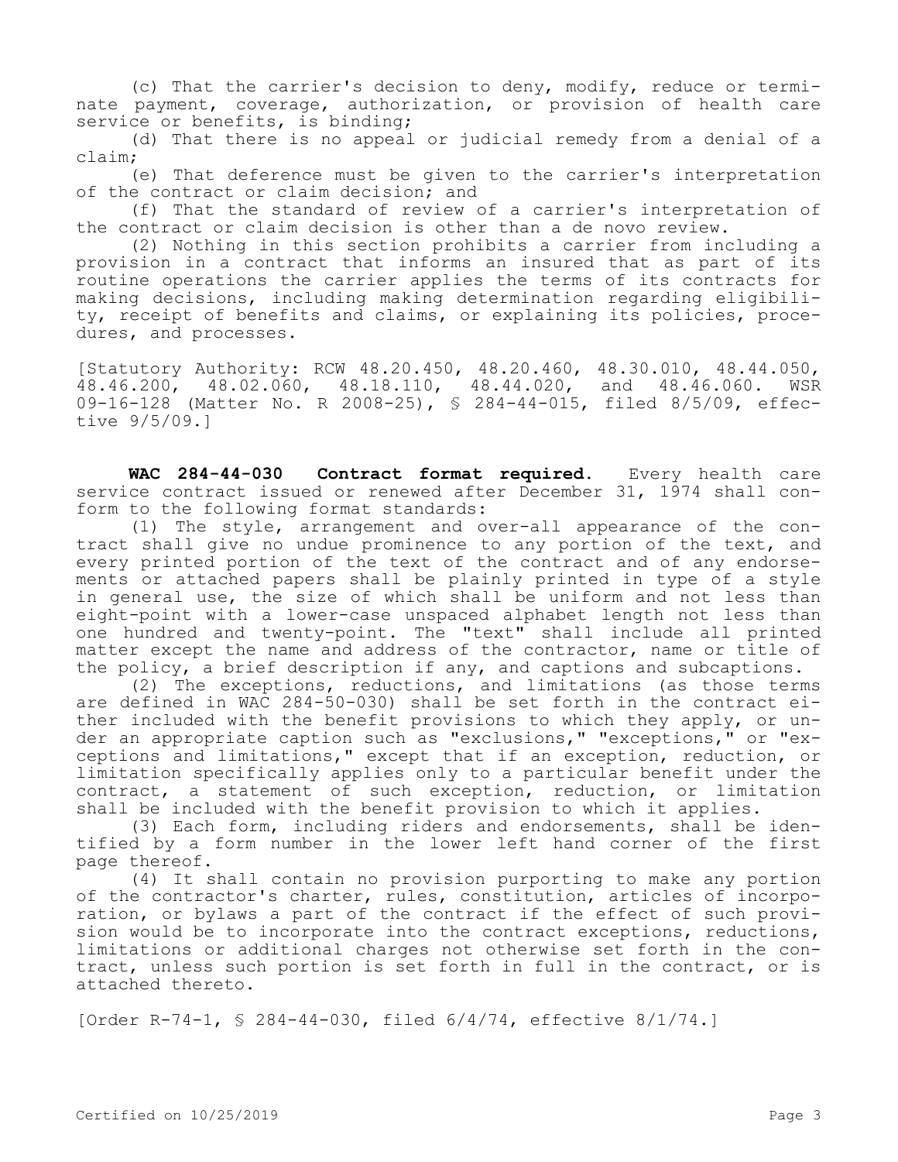(c) That the carrier's decision to deny, modify, reduce or terminate payment, coverage, authorization, or provision of health care service or benefits, is binding;

(d) That there is no appeal or judicial remedy from a denial of a claim;

(e) That deference must be given to the carrier's interpretation of the contract or claim decision; and

(f) That the standard of review of a carrier's interpretation of the contract or claim decision is other than a de novo review.

(2) Nothing in this section prohibits a carrier from including a provision in a contract that informs an insured that as part of its routine operations the carrier applies the terms of its contracts for making decisions, including making determination regarding eligibility, receipt of benefits and claims, or explaining its policies, procedures, and processes.

[Statutory Authority: RCW 48.20.450, 48.20.460, 48.30.010, 48.44.050, 48.46.200, 48.02.060, 48.18.110, 48.44.020, and 48.46.060. WSR 09-16-128 (Matter No. R 2008-25), § 284-44-015, filed 8/5/09, effective 9/5/09.]

**WAC 284-44-030 Contract format required.** Every health care service contract issued or renewed after December 31, 1974 shall conform to the following format standards:

(1) The style, arrangement and over-all appearance of the contract shall give no undue prominence to any portion of the text, and every printed portion of the text of the contract and of any endorsements or attached papers shall be plainly printed in type of a style in general use, the size of which shall be uniform and not less than eight-point with a lower-case unspaced alphabet length not less than one hundred and twenty-point. The "text" shall include all printed matter except the name and address of the contractor, name or title of the policy, a brief description if any, and captions and subcaptions.

(2) The exceptions, reductions, and limitations (as those terms are defined in WAC 284-50-030) shall be set forth in the contract either included with the benefit provisions to which they apply, or under an appropriate caption such as "exclusions," "exceptions," or "exceptions and limitations," except that if an exception, reduction, or limitation specifically applies only to a particular benefit under the contract, a statement of such exception, reduction, or limitation shall be included with the benefit provision to which it applies.

(3) Each form, including riders and endorsements, shall be identified by a form number in the lower left hand corner of the first page thereof.

(4) It shall contain no provision purporting to make any portion of the contractor's charter, rules, constitution, articles of incorporation, or bylaws a part of the contract if the effect of such provision would be to incorporate into the contract exceptions, reductions, limitations or additional charges not otherwise set forth in the contract, unless such portion is set forth in full in the contract, or is attached thereto.

[Order R-74-1, § 284-44-030, filed 6/4/74, effective 8/1/74.]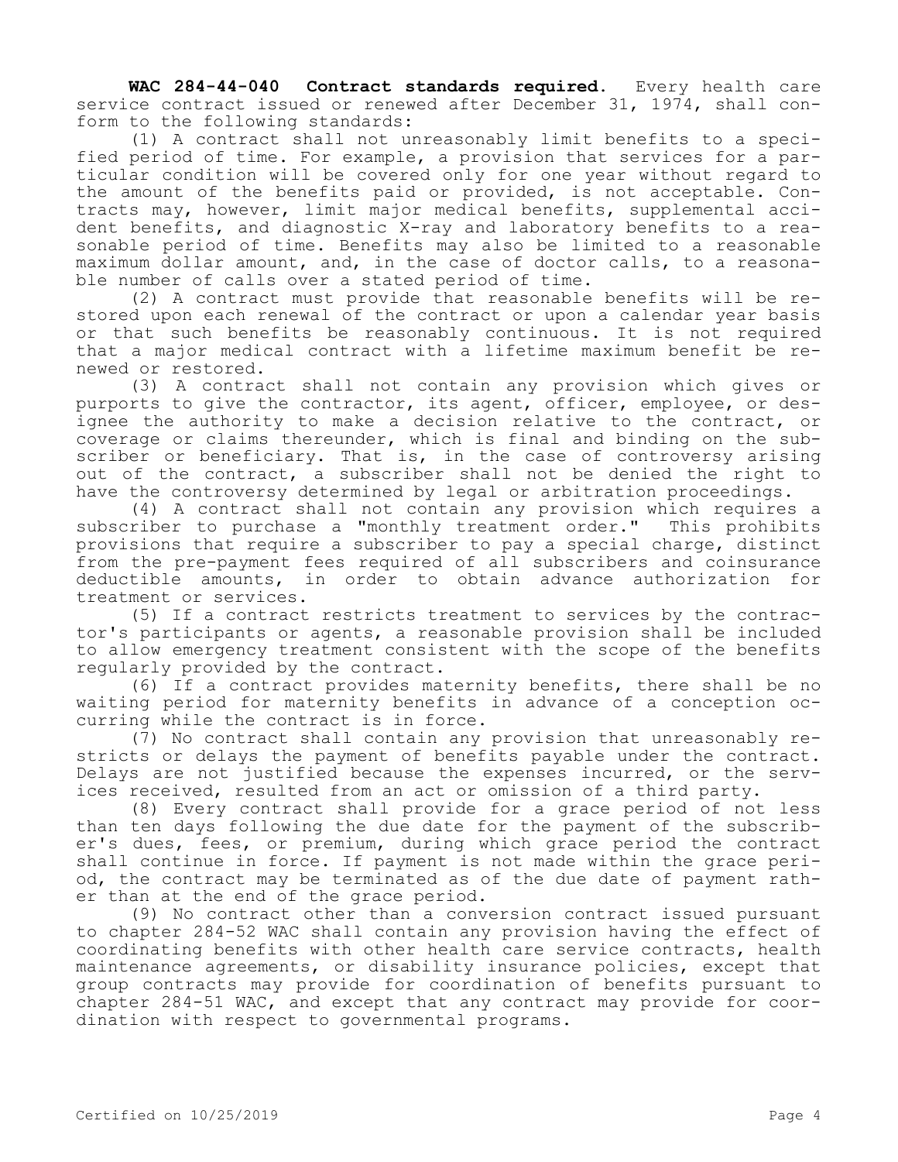**WAC 284-44-040 Contract standards required.** Every health care service contract issued or renewed after December 31, 1974, shall conform to the following standards:

(1) A contract shall not unreasonably limit benefits to a specified period of time. For example, a provision that services for a particular condition will be covered only for one year without regard to the amount of the benefits paid or provided, is not acceptable. Contracts may, however, limit major medical benefits, supplemental accident benefits, and diagnostic X-ray and laboratory benefits to a reasonable period of time. Benefits may also be limited to a reasonable maximum dollar amount, and, in the case of doctor calls, to a reasonable number of calls over a stated period of time.

(2) A contract must provide that reasonable benefits will be restored upon each renewal of the contract or upon a calendar year basis or that such benefits be reasonably continuous. It is not required that a major medical contract with a lifetime maximum benefit be renewed or restored.

(3) A contract shall not contain any provision which gives or purports to give the contractor, its agent, officer, employee, or designee the authority to make a decision relative to the contract, or coverage or claims thereunder, which is final and binding on the subscriber or beneficiary. That is, in the case of controversy arising out of the contract, a subscriber shall not be denied the right to have the controversy determined by legal or arbitration proceedings.

(4) A contract shall not contain any provision which requires a subscriber to purchase a "monthly treatment order." This prohibits provisions that require a subscriber to pay a special charge, distinct from the pre-payment fees required of all subscribers and coinsurance deductible amounts, in order to obtain advance authorization for treatment or services.

(5) If a contract restricts treatment to services by the contractor's participants or agents, a reasonable provision shall be included to allow emergency treatment consistent with the scope of the benefits regularly provided by the contract.

(6) If a contract provides maternity benefits, there shall be no waiting period for maternity benefits in advance of a conception occurring while the contract is in force.

(7) No contract shall contain any provision that unreasonably restricts or delays the payment of benefits payable under the contract. Delays are not justified because the expenses incurred, or the services received, resulted from an act or omission of a third party.

(8) Every contract shall provide for a grace period of not less than ten days following the due date for the payment of the subscriber's dues, fees, or premium, during which grace period the contract shall continue in force. If payment is not made within the grace period, the contract may be terminated as of the due date of payment rather than at the end of the grace period.

(9) No contract other than a conversion contract issued pursuant to chapter 284-52 WAC shall contain any provision having the effect of coordinating benefits with other health care service contracts, health maintenance agreements, or disability insurance policies, except that group contracts may provide for coordination of benefits pursuant to chapter 284-51 WAC, and except that any contract may provide for coordination with respect to governmental programs.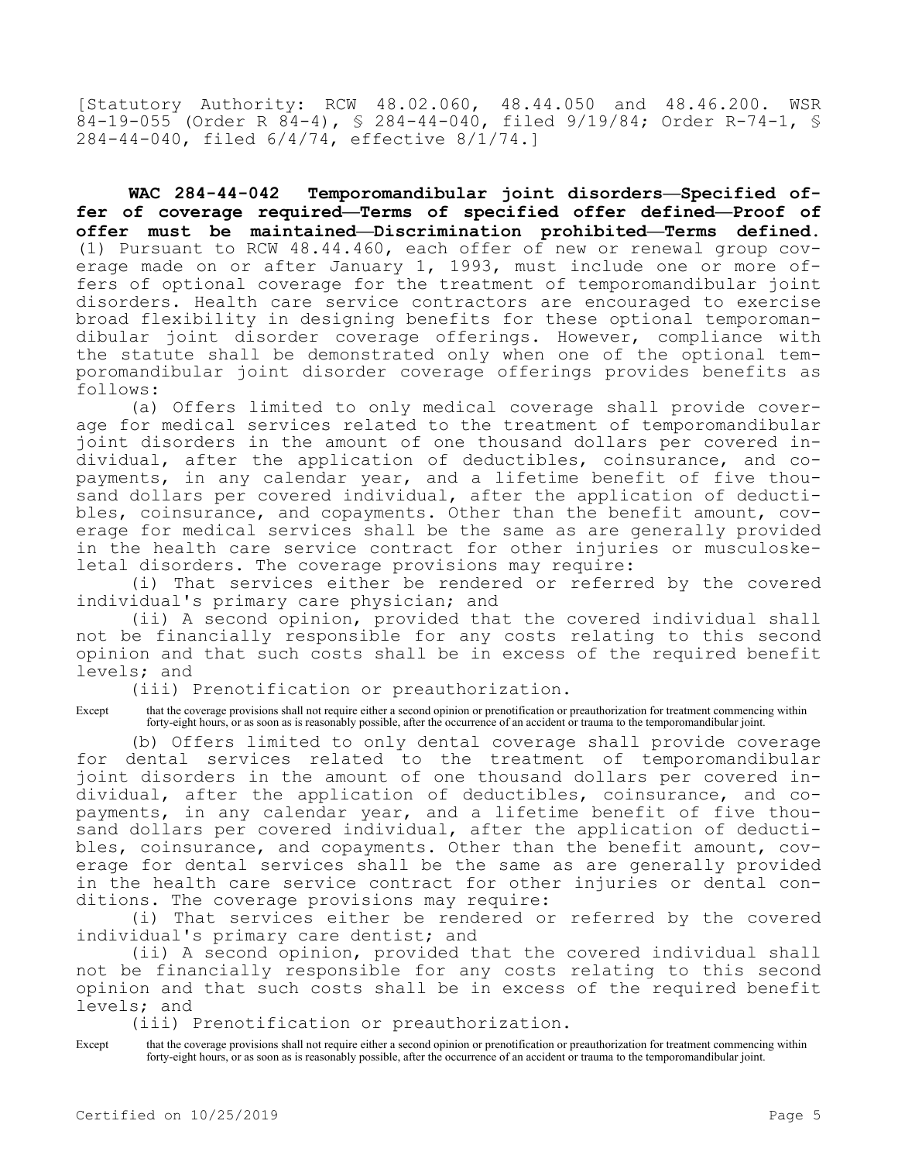[Statutory Authority: RCW 48.02.060, 48.44.050 and 48.46.200. WSR  $84-19-055$  (Order R  $84-4$ ), § 284-44-040, filed 9/19/84; Order R-74-1, § 284-44-040, filed 6/4/74, effective 8/1/74.]

**WAC 284-44-042 Temporomandibular joint disorders—Specified offer of coverage required—Terms of specified offer defined—Proof of offer must be maintained—Discrimination prohibited—Terms defined.**  (1) Pursuant to RCW 48.44.460, each offer of new or renewal group coverage made on or after January 1, 1993, must include one or more offers of optional coverage for the treatment of temporomandibular joint disorders. Health care service contractors are encouraged to exercise broad flexibility in designing benefits for these optional temporomandibular joint disorder coverage offerings. However, compliance with the statute shall be demonstrated only when one of the optional temporomandibular joint disorder coverage offerings provides benefits as follows:

(a) Offers limited to only medical coverage shall provide coverage for medical services related to the treatment of temporomandibular joint disorders in the amount of one thousand dollars per covered individual, after the application of deductibles, coinsurance, and copayments, in any calendar year, and a lifetime benefit of five thousand dollars per covered individual, after the application of deductibles, coinsurance, and copayments. Other than the benefit amount, coverage for medical services shall be the same as are generally provided in the health care service contract for other injuries or musculoskeletal disorders. The coverage provisions may require:

(i) That services either be rendered or referred by the covered individual's primary care physician; and

(ii) A second opinion, provided that the covered individual shall not be financially responsible for any costs relating to this second opinion and that such costs shall be in excess of the required benefit levels; and

(iii) Prenotification or preauthorization.

Except that the coverage provisions shall not require either a second opinion or prenotification or preauthorization for treatment commencing within forty-eight hours, or as soon as is reasonably possible, after the occurrence of an accident or trauma to the temporomandibular joint.

(b) Offers limited to only dental coverage shall provide coverage for dental services related to the treatment of temporomandibular joint disorders in the amount of one thousand dollars per covered individual, after the application of deductibles, coinsurance, and copayments, in any calendar year, and a lifetime benefit of five thousand dollars per covered individual, after the application of deductibles, coinsurance, and copayments. Other than the benefit amount, coverage for dental services shall be the same as are generally provided in the health care service contract for other injuries or dental conditions. The coverage provisions may require:

(i) That services either be rendered or referred by the covered individual's primary care dentist; and

(ii) A second opinion, provided that the covered individual shall not be financially responsible for any costs relating to this second opinion and that such costs shall be in excess of the required benefit levels; and

(iii) Prenotification or preauthorization.

Except that the coverage provisions shall not require either a second opinion or prenotification or preauthorization for treatment commencing within forty-eight hours, or as soon as is reasonably possible, after the occurrence of an accident or trauma to the temporomandibular joint.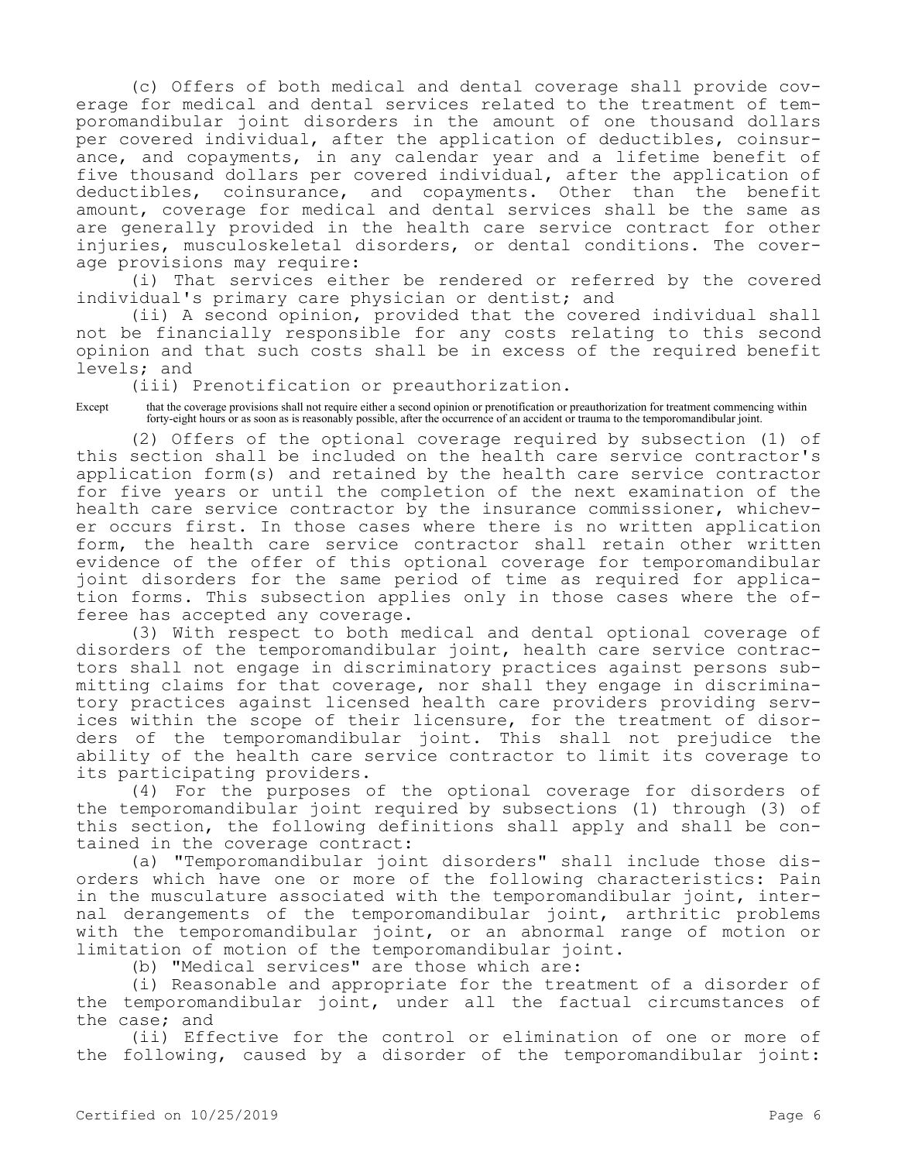(c) Offers of both medical and dental coverage shall provide coverage for medical and dental services related to the treatment of temporomandibular joint disorders in the amount of one thousand dollars per covered individual, after the application of deductibles, coinsurance, and copayments, in any calendar year and a lifetime benefit of five thousand dollars per covered individual, after the application of deductibles, coinsurance, and copayments. Other than the benefit amount, coverage for medical and dental services shall be the same as are generally provided in the health care service contract for other injuries, musculoskeletal disorders, or dental conditions. The coverage provisions may require:

(i) That services either be rendered or referred by the covered individual's primary care physician or dentist; and

(ii) A second opinion, provided that the covered individual shall not be financially responsible for any costs relating to this second opinion and that such costs shall be in excess of the required benefit levels; and

(iii) Prenotification or preauthorization.

Except that the coverage provisions shall not require either a second opinion or prenotification or preauthorization for treatment commencing within forty-eight hours or as soon as is reasonably possible, after the occurrence of an accident or trauma to the temporomandibular joint.

(2) Offers of the optional coverage required by subsection (1) of this section shall be included on the health care service contractor's application form(s) and retained by the health care service contractor for five years or until the completion of the next examination of the health care service contractor by the insurance commissioner, whichever occurs first. In those cases where there is no written application form, the health care service contractor shall retain other written evidence of the offer of this optional coverage for temporomandibular joint disorders for the same period of time as required for application forms. This subsection applies only in those cases where the offeree has accepted any coverage.

(3) With respect to both medical and dental optional coverage of disorders of the temporomandibular joint, health care service contractors shall not engage in discriminatory practices against persons submitting claims for that coverage, nor shall they engage in discriminatory practices against licensed health care providers providing services within the scope of their licensure, for the treatment of disorders of the temporomandibular joint. This shall not prejudice the ability of the health care service contractor to limit its coverage to its participating providers.

(4) For the purposes of the optional coverage for disorders of the temporomandibular joint required by subsections (1) through (3) of this section, the following definitions shall apply and shall be contained in the coverage contract:

(a) "Temporomandibular joint disorders" shall include those disorders which have one or more of the following characteristics: Pain in the musculature associated with the temporomandibular joint, internal derangements of the temporomandibular joint, arthritic problems with the temporomandibular joint, or an abnormal range of motion or limitation of motion of the temporomandibular joint.

(b) "Medical services" are those which are:

(i) Reasonable and appropriate for the treatment of a disorder of the temporomandibular joint, under all the factual circumstances of the case; and

(ii) Effective for the control or elimination of one or more of the following, caused by a disorder of the temporomandibular joint: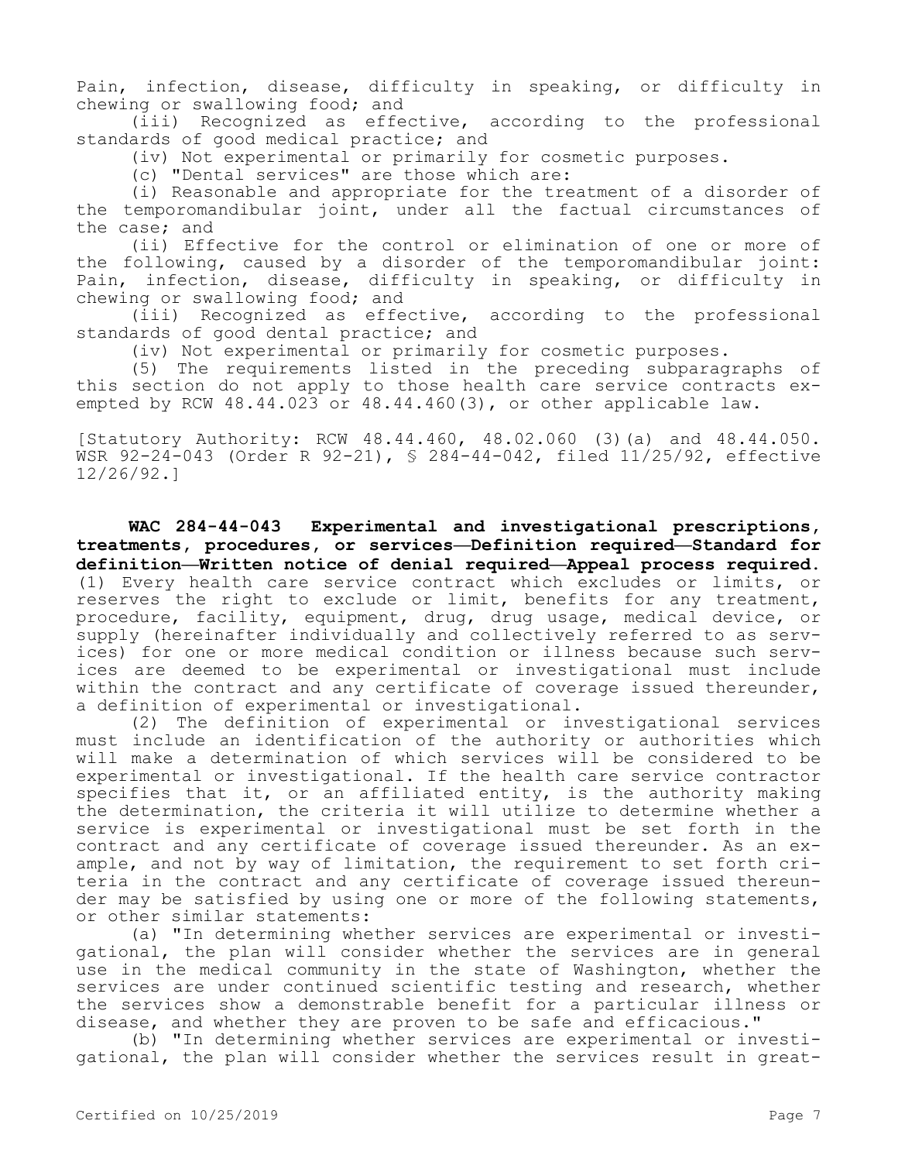Pain, infection, disease, difficulty in speaking, or difficulty in chewing or swallowing food; and

(iii) Recognized as effective, according to the professional standards of good medical practice; and

(iv) Not experimental or primarily for cosmetic purposes.

(c) "Dental services" are those which are:

(i) Reasonable and appropriate for the treatment of a disorder of the temporomandibular joint, under all the factual circumstances of the case; and

(ii) Effective for the control or elimination of one or more of the following, caused by a disorder of the temporomandibular joint: Pain, infection, disease, difficulty in speaking, or difficulty in chewing or swallowing food; and

(iii) Recognized as effective, according to the professional standards of good dental practice; and

(iv) Not experimental or primarily for cosmetic purposes.

(5) The requirements listed in the preceding subparagraphs of this section do not apply to those health care service contracts exempted by RCW 48.44.023 or 48.44.460(3), or other applicable law.

[Statutory Authority: RCW 48.44.460, 48.02.060 (3)(a) and 48.44.050. WSR 92-24-043 (Order R 92-21), § 284-44-042, filed 11/25/92, effective 12/26/92.]

**WAC 284-44-043 Experimental and investigational prescriptions, treatments, procedures, or services—Definition required—Standard for definition—Written notice of denial required—Appeal process required.**  (1) Every health care service contract which excludes or limits, or reserves the right to exclude or limit, benefits for any treatment, procedure, facility, equipment, drug, drug usage, medical device, or supply (hereinafter individually and collectively referred to as services) for one or more medical condition or illness because such services are deemed to be experimental or investigational must include within the contract and any certificate of coverage issued thereunder, a definition of experimental or investigational.

(2) The definition of experimental or investigational services must include an identification of the authority or authorities which will make a determination of which services will be considered to be experimental or investigational. If the health care service contractor specifies that it, or an affiliated entity, is the authority making the determination, the criteria it will utilize to determine whether a service is experimental or investigational must be set forth in the contract and any certificate of coverage issued thereunder. As an example, and not by way of limitation, the requirement to set forth criteria in the contract and any certificate of coverage issued thereunder may be satisfied by using one or more of the following statements, or other similar statements:

(a) "In determining whether services are experimental or investigational, the plan will consider whether the services are in general use in the medical community in the state of Washington, whether the services are under continued scientific testing and research, whether the services show a demonstrable benefit for a particular illness or disease, and whether they are proven to be safe and efficacious."

(b) "In determining whether services are experimental or investigational, the plan will consider whether the services result in great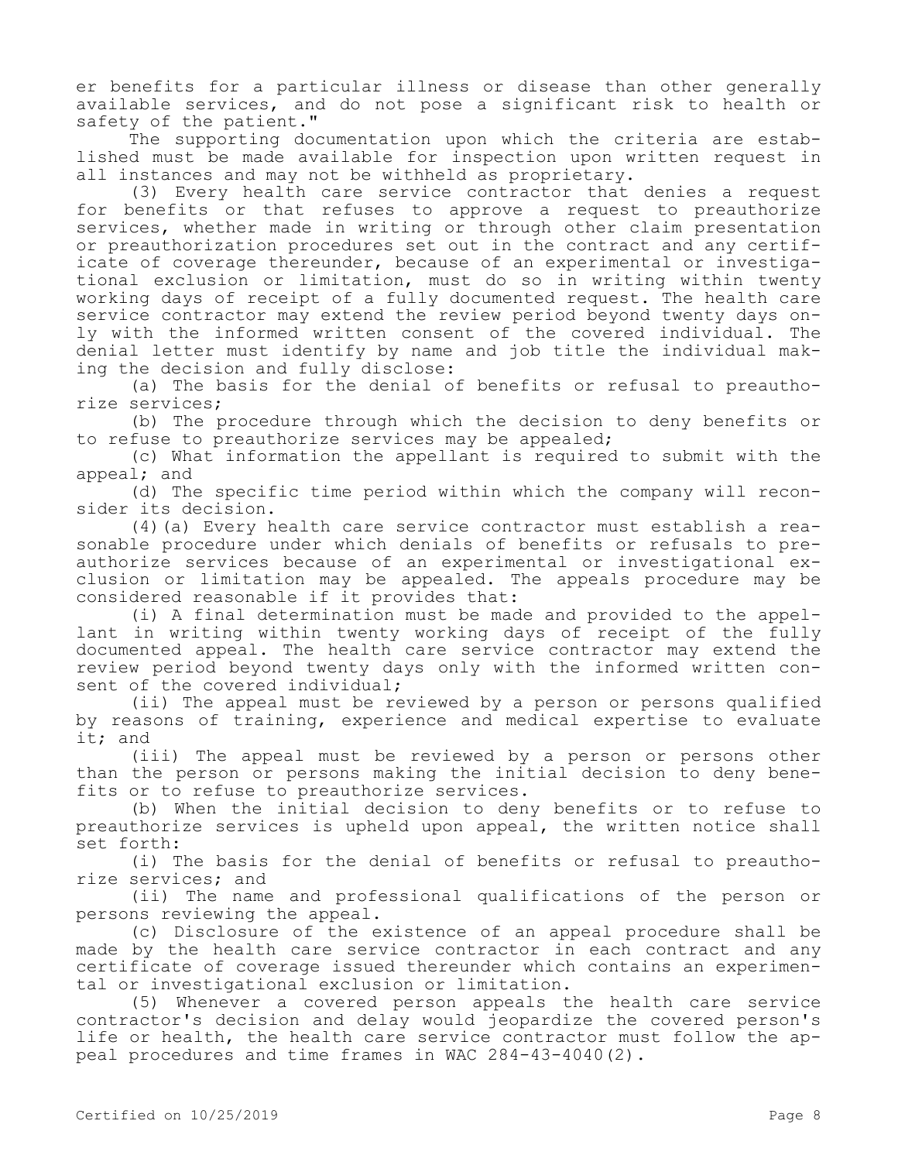er benefits for a particular illness or disease than other generally available services, and do not pose a significant risk to health or safety of the patient."

The supporting documentation upon which the criteria are established must be made available for inspection upon written request in all instances and may not be withheld as proprietary.

(3) Every health care service contractor that denies a request for benefits or that refuses to approve a request to preauthorize services, whether made in writing or through other claim presentation or preauthorization procedures set out in the contract and any certificate of coverage thereunder, because of an experimental or investigational exclusion or limitation, must do so in writing within twenty working days of receipt of a fully documented request. The health care service contractor may extend the review period beyond twenty days only with the informed written consent of the covered individual. The denial letter must identify by name and job title the individual making the decision and fully disclose:

(a) The basis for the denial of benefits or refusal to preauthorize services;

(b) The procedure through which the decision to deny benefits or to refuse to preauthorize services may be appealed;

(c) What information the appellant is required to submit with the appeal; and

(d) The specific time period within which the company will reconsider its decision.

(4)(a) Every health care service contractor must establish a reasonable procedure under which denials of benefits or refusals to preauthorize services because of an experimental or investigational exclusion or limitation may be appealed. The appeals procedure may be considered reasonable if it provides that:

(i) A final determination must be made and provided to the appellant in writing within twenty working days of receipt of the fully documented appeal. The health care service contractor may extend the review period beyond twenty days only with the informed written consent of the covered individual;

(ii) The appeal must be reviewed by a person or persons qualified by reasons of training, experience and medical expertise to evaluate it; and

(iii) The appeal must be reviewed by a person or persons other than the person or persons making the initial decision to deny benefits or to refuse to preauthorize services.

(b) When the initial decision to deny benefits or to refuse to preauthorize services is upheld upon appeal, the written notice shall set forth:

(i) The basis for the denial of benefits or refusal to preauthorize services; and

(ii) The name and professional qualifications of the person or persons reviewing the appeal.

(c) Disclosure of the existence of an appeal procedure shall be made by the health care service contractor in each contract and any certificate of coverage issued thereunder which contains an experimental or investigational exclusion or limitation.

(5) Whenever a covered person appeals the health care service contractor's decision and delay would jeopardize the covered person's life or health, the health care service contractor must follow the appeal procedures and time frames in WAC 284-43-4040(2).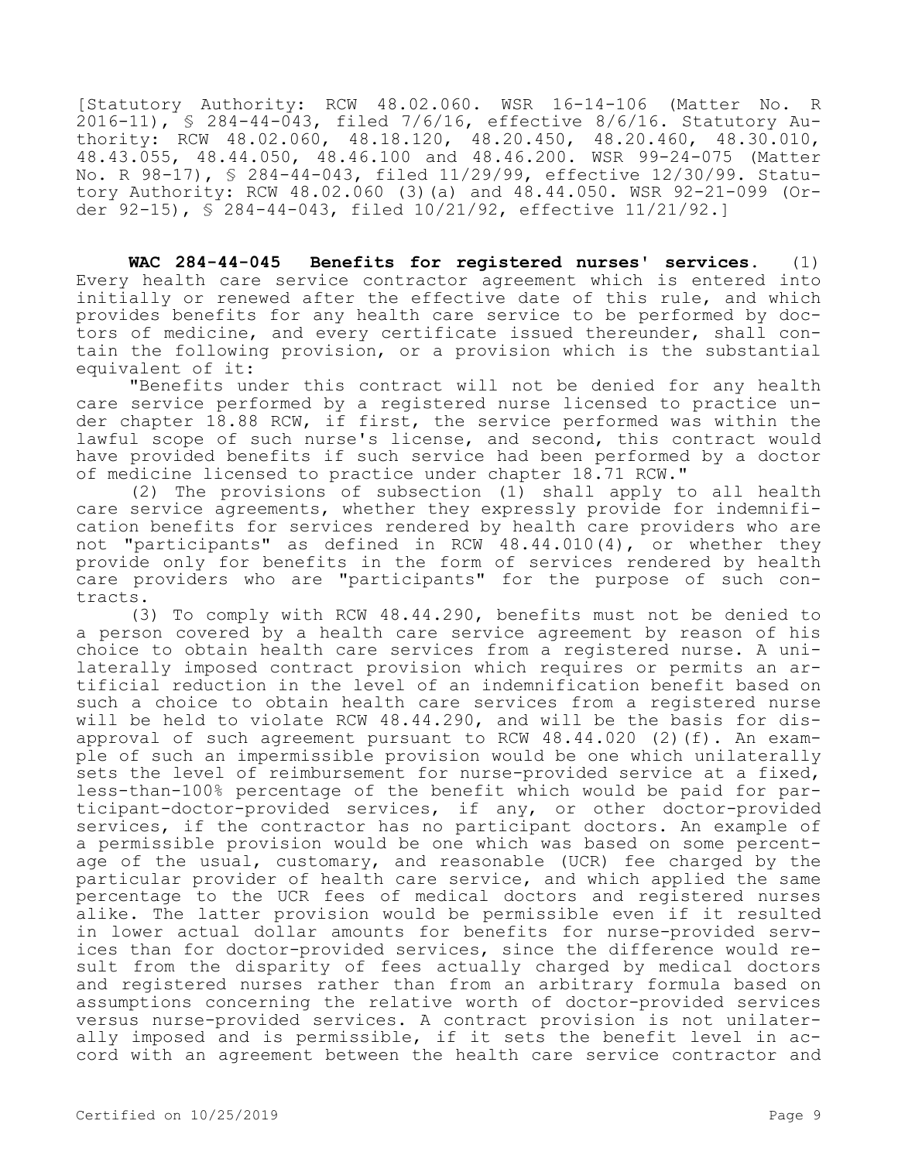[Statutory Authority: RCW 48.02.060. WSR 16-14-106 (Matter No. R 2016-11), § 284-44-043, filed 7/6/16, effective 8/6/16. Statutory Authority: RCW 48.02.060, 48.18.120, 48.20.450, 48.20.460, 48.30.010, 48.43.055, 48.44.050, 48.46.100 and 48.46.200. WSR 99-24-075 (Matter No. R 98-17), § 284-44-043, filed 11/29/99, effective 12/30/99. Statutory Authority: RCW 48.02.060 (3)(a) and 48.44.050. WSR 92-21-099 (Order 92-15), § 284-44-043, filed 10/21/92, effective 11/21/92.]

**WAC 284-44-045 Benefits for registered nurses' services.** (1) Every health care service contractor agreement which is entered into initially or renewed after the effective date of this rule, and which provides benefits for any health care service to be performed by doctors of medicine, and every certificate issued thereunder, shall contain the following provision, or a provision which is the substantial equivalent of it:

"Benefits under this contract will not be denied for any health care service performed by a registered nurse licensed to practice under chapter 18.88 RCW, if first, the service performed was within the lawful scope of such nurse's license, and second, this contract would have provided benefits if such service had been performed by a doctor of medicine licensed to practice under chapter 18.71 RCW."

(2) The provisions of subsection (1) shall apply to all health care service agreements, whether they expressly provide for indemnification benefits for services rendered by health care providers who are not "participants" as defined in RCW 48.44.010(4), or whether they provide only for benefits in the form of services rendered by health care providers who are "participants" for the purpose of such contracts.

(3) To comply with RCW 48.44.290, benefits must not be denied to a person covered by a health care service agreement by reason of his choice to obtain health care services from a registered nurse. A unilaterally imposed contract provision which requires or permits an artificial reduction in the level of an indemnification benefit based on such a choice to obtain health care services from a registered nurse will be held to violate RCW 48.44.290, and will be the basis for disapproval of such agreement pursuant to RCW  $48.44.020$  (2)(f). An example of such an impermissible provision would be one which unilaterally sets the level of reimbursement for nurse-provided service at a fixed, less-than-100% percentage of the benefit which would be paid for participant-doctor-provided services, if any, or other doctor-provided services, if the contractor has no participant doctors. An example of a permissible provision would be one which was based on some percentage of the usual, customary, and reasonable (UCR) fee charged by the particular provider of health care service, and which applied the same percentage to the UCR fees of medical doctors and registered nurses alike. The latter provision would be permissible even if it resulted in lower actual dollar amounts for benefits for nurse-provided services than for doctor-provided services, since the difference would result from the disparity of fees actually charged by medical doctors and registered nurses rather than from an arbitrary formula based on assumptions concerning the relative worth of doctor-provided services versus nurse-provided services. A contract provision is not unilaterally imposed and is permissible, if it sets the benefit level in accord with an agreement between the health care service contractor and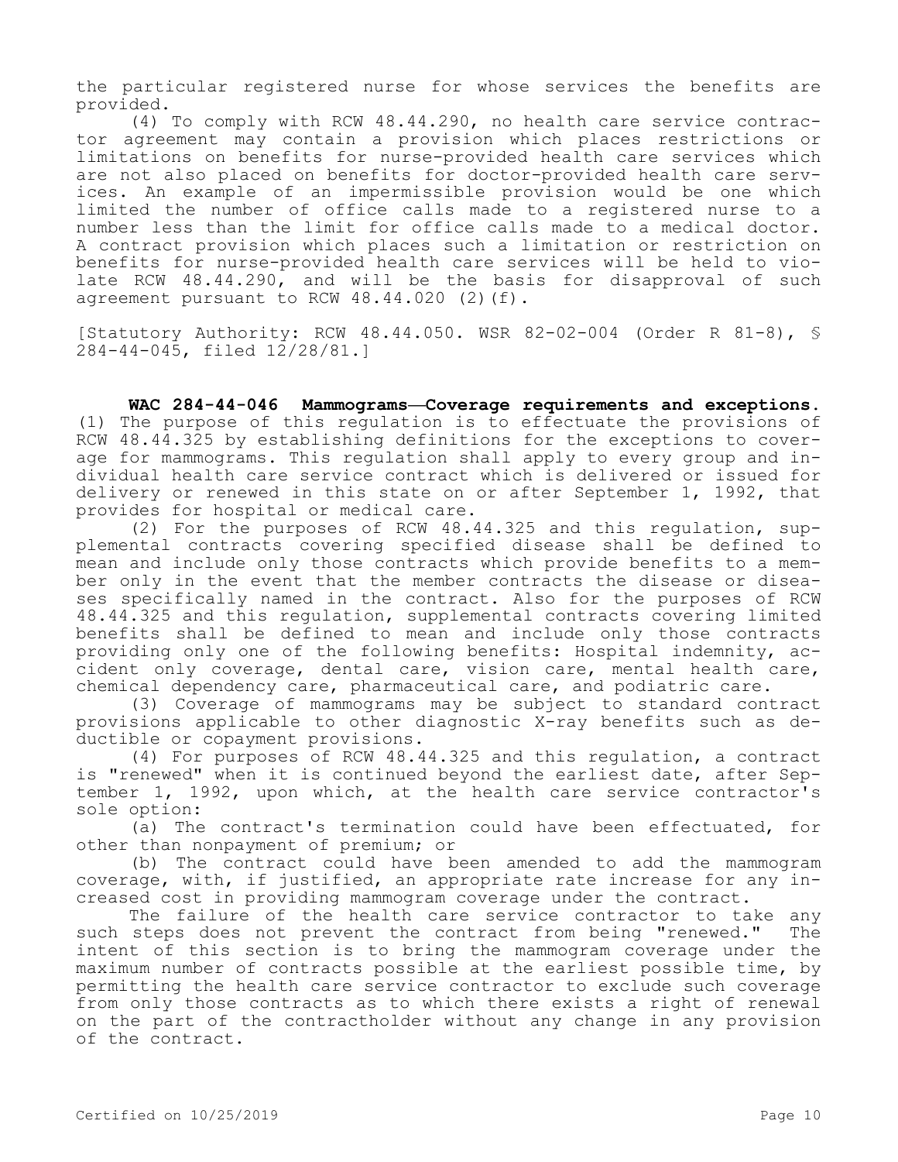the particular registered nurse for whose services the benefits are provided.

(4) To comply with RCW 48.44.290, no health care service contractor agreement may contain a provision which places restrictions or limitations on benefits for nurse-provided health care services which are not also placed on benefits for doctor-provided health care services. An example of an impermissible provision would be one which limited the number of office calls made to a registered nurse to a number less than the limit for office calls made to a medical doctor. A contract provision which places such a limitation or restriction on benefits for nurse-provided health care services will be held to violate RCW 48.44.290, and will be the basis for disapproval of such agreement pursuant to RCW 48.44.020 (2)(f).

[Statutory Authority: RCW 48.44.050. WSR 82-02-004 (Order R 81-8), § 284-44-045, filed 12/28/81.]

**WAC 284-44-046 Mammograms—Coverage requirements and exceptions.**  (1) The purpose of this regulation is to effectuate the provisions of RCW 48.44.325 by establishing definitions for the exceptions to coverage for mammograms. This regulation shall apply to every group and individual health care service contract which is delivered or issued for delivery or renewed in this state on or after September 1, 1992, that provides for hospital or medical care.

(2) For the purposes of RCW 48.44.325 and this regulation, supplemental contracts covering specified disease shall be defined to mean and include only those contracts which provide benefits to a member only in the event that the member contracts the disease or diseases specifically named in the contract. Also for the purposes of RCW 48.44.325 and this regulation, supplemental contracts covering limited benefits shall be defined to mean and include only those contracts providing only one of the following benefits: Hospital indemnity, accident only coverage, dental care, vision care, mental health care, chemical dependency care, pharmaceutical care, and podiatric care.

(3) Coverage of mammograms may be subject to standard contract provisions applicable to other diagnostic X-ray benefits such as deductible or copayment provisions.

(4) For purposes of RCW 48.44.325 and this regulation, a contract is "renewed" when it is continued beyond the earliest date, after September 1, 1992, upon which, at the health care service contractor's sole option:

(a) The contract's termination could have been effectuated, for other than nonpayment of premium; or

(b) The contract could have been amended to add the mammogram coverage, with, if justified, an appropriate rate increase for any increased cost in providing mammogram coverage under the contract.

The failure of the health care service contractor to take any such steps does not prevent the contract from being "renewed." The intent of this section is to bring the mammogram coverage under the maximum number of contracts possible at the earliest possible time, by permitting the health care service contractor to exclude such coverage from only those contracts as to which there exists a right of renewal on the part of the contractholder without any change in any provision of the contract.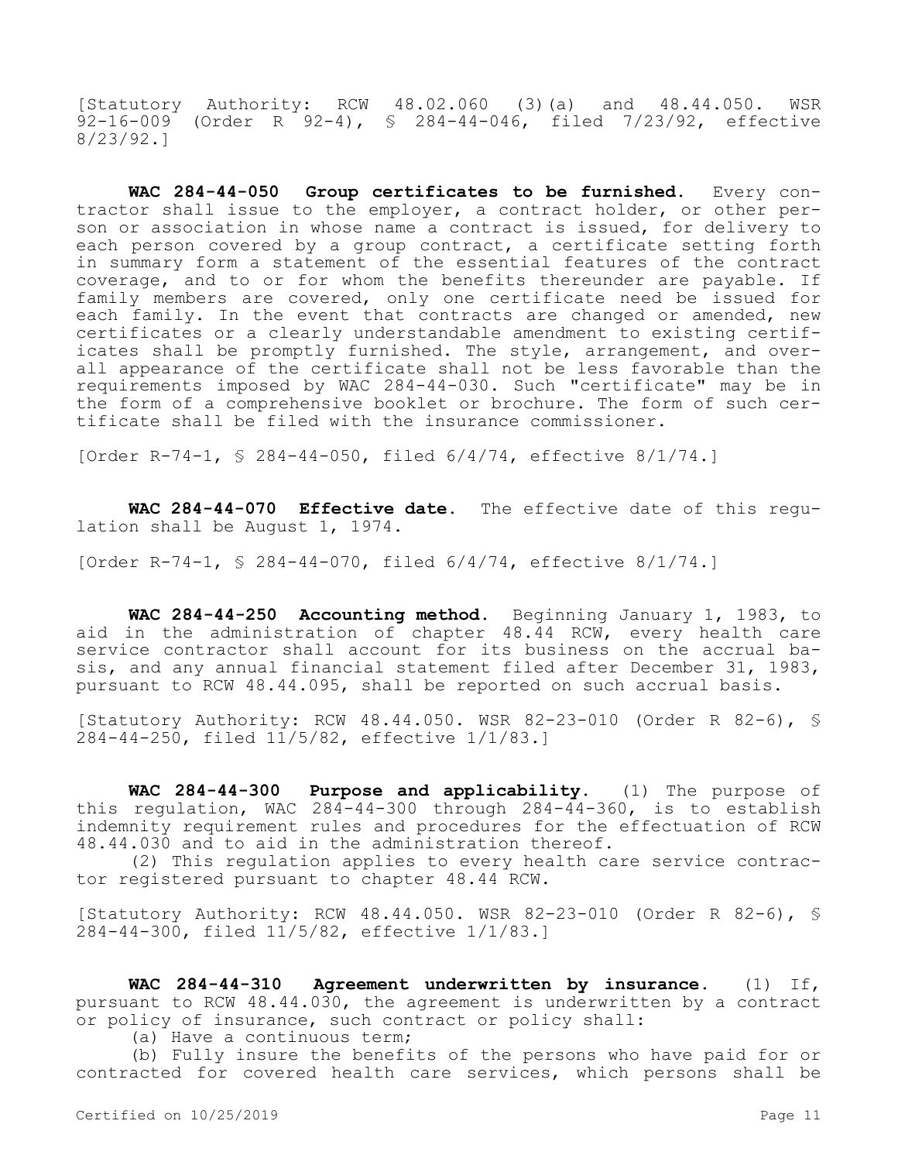[Statutory Authority: RCW 48.02.060 (3)(a) and 48.44.050. WSR 92-16-009 (Order R 92-4), § 284-44-046, filed 7/23/92, effective 8/23/92.]

**WAC 284-44-050 Group certificates to be furnished.** Every contractor shall issue to the employer, a contract holder, or other person or association in whose name a contract is issued, for delivery to each person covered by a group contract, a certificate setting forth in summary form a statement of the essential features of the contract coverage, and to or for whom the benefits thereunder are payable. If family members are covered, only one certificate need be issued for each family. In the event that contracts are changed or amended, new certificates or a clearly understandable amendment to existing certificates shall be promptly furnished. The style, arrangement, and overall appearance of the certificate shall not be less favorable than the requirements imposed by WAC 284-44-030. Such "certificate" may be in the form of a comprehensive booklet or brochure. The form of such certificate shall be filed with the insurance commissioner.

[Order R-74-1, § 284-44-050, filed 6/4/74, effective 8/1/74.]

**WAC 284-44-070 Effective date.** The effective date of this regulation shall be August 1, 1974.

[Order R-74-1, § 284-44-070, filed 6/4/74, effective 8/1/74.]

**WAC 284-44-250 Accounting method.** Beginning January 1, 1983, to aid in the administration of chapter 48.44 RCW, every health care service contractor shall account for its business on the accrual basis, and any annual financial statement filed after December 31, 1983, pursuant to RCW 48.44.095, shall be reported on such accrual basis.

[Statutory Authority: RCW 48.44.050. WSR 82-23-010 (Order R 82-6), § 284-44-250, filed 11/5/82, effective 1/1/83.]

**WAC 284-44-300 Purpose and applicability.** (1) The purpose of this regulation, WAC  $284-44-300$  through  $284-44-360$ , is to establish indemnity requirement rules and procedures for the effectuation of RCW 48.44.030 and to aid in the administration thereof.

(2) This regulation applies to every health care service contractor registered pursuant to chapter 48.44 RCW.

[Statutory Authority: RCW 48.44.050. WSR 82-23-010 (Order R 82-6), § 284-44-300, filed 11/5/82, effective 1/1/83.]

**WAC 284-44-310 Agreement underwritten by insurance.** (1) If, pursuant to RCW 48.44.030, the agreement is underwritten by a contract or policy of insurance, such contract or policy shall:

(a) Have a continuous term;

(b) Fully insure the benefits of the persons who have paid for or contracted for covered health care services, which persons shall be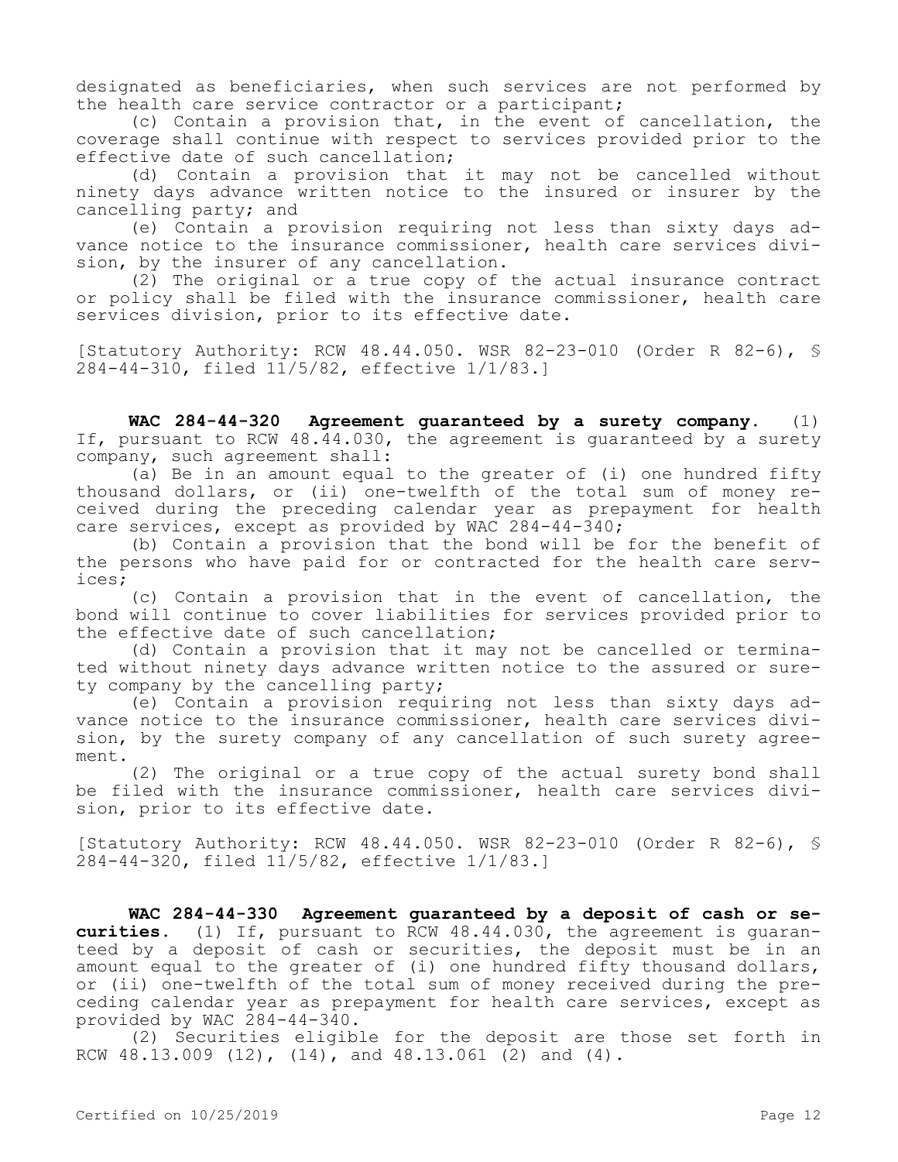designated as beneficiaries, when such services are not performed by the health care service contractor or a participant;

(c) Contain a provision that, in the event of cancellation, the coverage shall continue with respect to services provided prior to the effective date of such cancellation;

(d) Contain a provision that it may not be cancelled without ninety days advance written notice to the insured or insurer by the cancelling party; and

(e) Contain a provision requiring not less than sixty days advance notice to the insurance commissioner, health care services division, by the insurer of any cancellation.

(2) The original or a true copy of the actual insurance contract or policy shall be filed with the insurance commissioner, health care services division, prior to its effective date.

[Statutory Authority: RCW 48.44.050. WSR 82-23-010 (Order R 82-6), § 284-44-310, filed 11/5/82, effective 1/1/83.]

**WAC 284-44-320 Agreement guaranteed by a surety company.** (1) If, pursuant to RCW 48.44.030, the agreement is guaranteed by a surety company, such agreement shall:

(a) Be in an amount equal to the greater of (i) one hundred fifty thousand dollars, or (ii) one-twelfth of the total sum of money received during the preceding calendar year as prepayment for health care services, except as provided by WAC 284-44-340;

(b) Contain a provision that the bond will be for the benefit of the persons who have paid for or contracted for the health care services;

(c) Contain a provision that in the event of cancellation, the bond will continue to cover liabilities for services provided prior to the effective date of such cancellation;

(d) Contain a provision that it may not be cancelled or terminated without ninety days advance written notice to the assured or surety company by the cancelling party;

(e) Contain a provision requiring not less than sixty days advance notice to the insurance commissioner, health care services division, by the surety company of any cancellation of such surety agreement.

(2) The original or a true copy of the actual surety bond shall be filed with the insurance commissioner, health care services division, prior to its effective date.

[Statutory Authority: RCW 48.44.050. WSR 82-23-010 (Order R 82-6), § 284-44-320, filed 11/5/82, effective 1/1/83.]

**WAC 284-44-330 Agreement guaranteed by a deposit of cash or securities.** (1) If, pursuant to RCW 48.44.030, the agreement is guaranteed by a deposit of cash or securities, the deposit must be in an amount equal to the greater of (i) one hundred fifty thousand dollars, or (ii) one-twelfth of the total sum of money received during the preceding calendar year as prepayment for health care services, except as provided by WAC 284-44-340.

(2) Securities eligible for the deposit are those set forth in RCW 48.13.009 (12), (14), and 48.13.061 (2) and (4).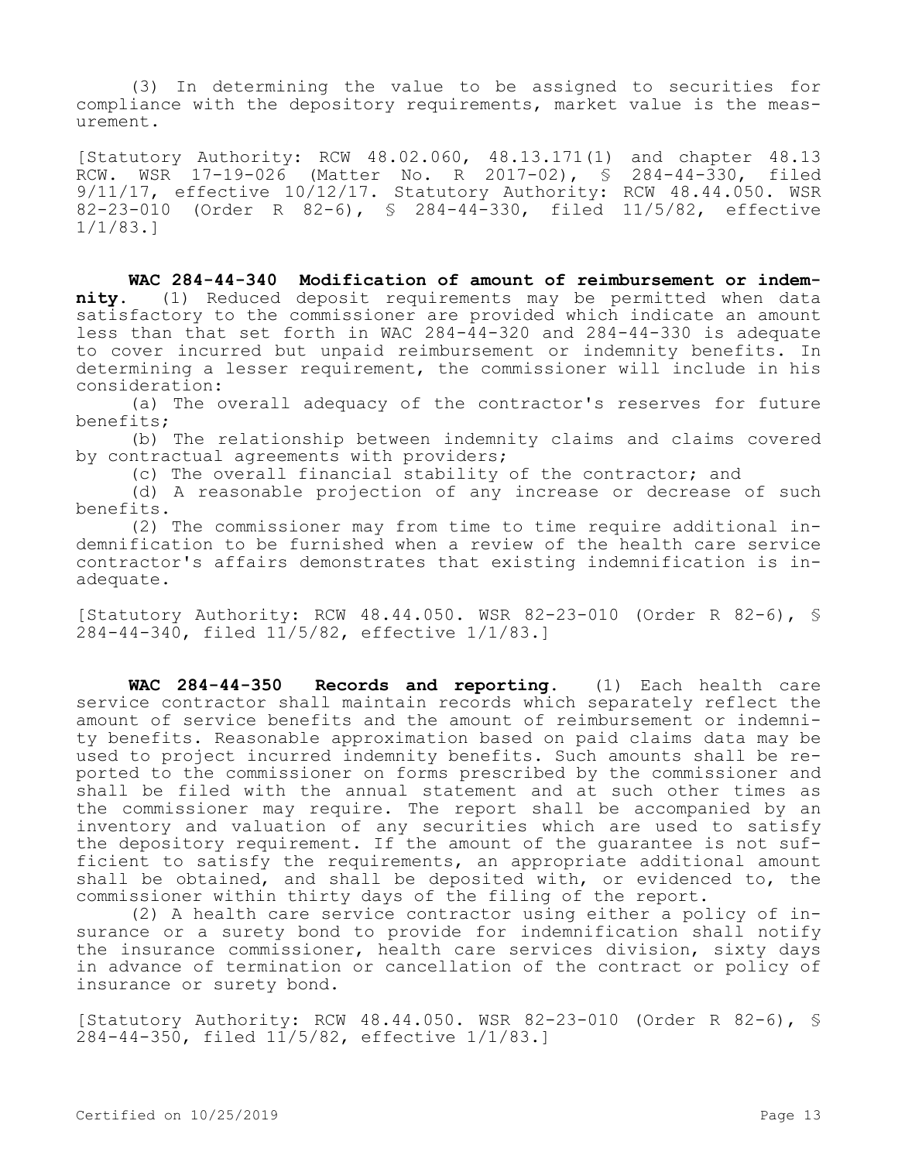(3) In determining the value to be assigned to securities for compliance with the depository requirements, market value is the measurement.

[Statutory Authority: RCW 48.02.060, 48.13.171(1) and chapter 48.13 RCW. WSR 17-19-026 (Matter No. R 2017-02), § 284-44-330, filed 9/11/17, effective 10/12/17. Statutory Authority: RCW 48.44.050. WSR 82-23-010 (Order R 82-6), § 284-44-330, filed 11/5/82, effective 1/1/83.]

**WAC 284-44-340 Modification of amount of reimbursement or indemnity.** (1) Reduced deposit requirements may be permitted when data satisfactory to the commissioner are provided which indicate an amount less than that set forth in WAC 284-44-320 and 284-44-330 is adequate to cover incurred but unpaid reimbursement or indemnity benefits. In determining a lesser requirement, the commissioner will include in his consideration:

(a) The overall adequacy of the contractor's reserves for future benefits;

(b) The relationship between indemnity claims and claims covered by contractual agreements with providers;

(c) The overall financial stability of the contractor; and

(d) A reasonable projection of any increase or decrease of such benefits.

(2) The commissioner may from time to time require additional indemnification to be furnished when a review of the health care service contractor's affairs demonstrates that existing indemnification is inadequate.

[Statutory Authority: RCW 48.44.050. WSR 82-23-010 (Order R 82-6), § 284-44-340, filed 11/5/82, effective 1/1/83.]

**WAC 284-44-350 Records and reporting.** (1) Each health care service contractor shall maintain records which separately reflect the amount of service benefits and the amount of reimbursement or indemnity benefits. Reasonable approximation based on paid claims data may be used to project incurred indemnity benefits. Such amounts shall be reported to the commissioner on forms prescribed by the commissioner and shall be filed with the annual statement and at such other times as the commissioner may require. The report shall be accompanied by an inventory and valuation of any securities which are used to satisfy the depository requirement. If the amount of the quarantee is not sufficient to satisfy the requirements, an appropriate additional amount shall be obtained, and shall be deposited with, or evidenced to, the commissioner within thirty days of the filing of the report.

(2) A health care service contractor using either a policy of insurance or a surety bond to provide for indemnification shall notify the insurance commissioner, health care services division, sixty days in advance of termination or cancellation of the contract or policy of insurance or surety bond.

[Statutory Authority: RCW 48.44.050. WSR 82-23-010 (Order R 82-6), § 284-44-350, filed 11/5/82, effective 1/1/83.]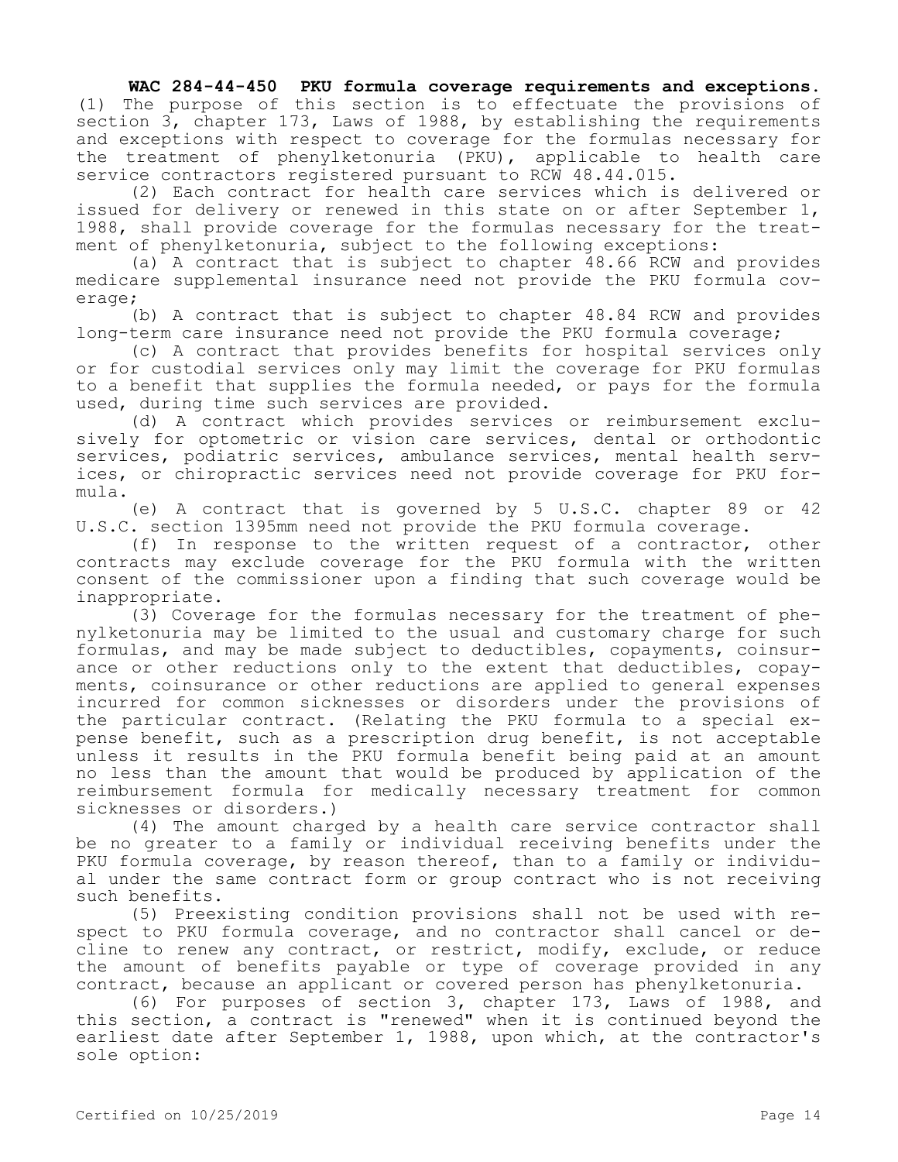## **WAC 284-44-450 PKU formula coverage requirements and exceptions.**

(1) The purpose of this section is to effectuate the provisions of section 3, chapter 173, Laws of 1988, by establishing the requirements and exceptions with respect to coverage for the formulas necessary for the treatment of phenylketonuria (PKU), applicable to health care service contractors registered pursuant to RCW 48.44.015.

(2) Each contract for health care services which is delivered or issued for delivery or renewed in this state on or after September 1, 1988, shall provide coverage for the formulas necessary for the treatment of phenylketonuria, subject to the following exceptions:

(a) A contract that is subject to chapter 48.66 RCW and provides medicare supplemental insurance need not provide the PKU formula coverage;

(b) A contract that is subject to chapter 48.84 RCW and provides long-term care insurance need not provide the PKU formula coverage;

(c) A contract that provides benefits for hospital services only or for custodial services only may limit the coverage for PKU formulas to a benefit that supplies the formula needed, or pays for the formula used, during time such services are provided.

(d) A contract which provides services or reimbursement exclusively for optometric or vision care services, dental or orthodontic services, podiatric services, ambulance services, mental health services, or chiropractic services need not provide coverage for PKU formula.

(e) A contract that is governed by 5 U.S.C. chapter 89 or 42 U.S.C. section 1395mm need not provide the PKU formula coverage.

(f) In response to the written request of a contractor, other contracts may exclude coverage for the PKU formula with the written consent of the commissioner upon a finding that such coverage would be inappropriate.

(3) Coverage for the formulas necessary for the treatment of phenylketonuria may be limited to the usual and customary charge for such formulas, and may be made subject to deductibles, copayments, coinsurance or other reductions only to the extent that deductibles, copayments, coinsurance or other reductions are applied to general expenses incurred for common sicknesses or disorders under the provisions of the particular contract. (Relating the PKU formula to a special expense benefit, such as a prescription drug benefit, is not acceptable unless it results in the PKU formula benefit being paid at an amount no less than the amount that would be produced by application of the reimbursement formula for medically necessary treatment for common sicknesses or disorders.)

(4) The amount charged by a health care service contractor shall be no greater to a family or individual receiving benefits under the PKU formula coverage, by reason thereof, than to a family or individual under the same contract form or group contract who is not receiving such benefits.

(5) Preexisting condition provisions shall not be used with respect to PKU formula coverage, and no contractor shall cancel or decline to renew any contract, or restrict, modify, exclude, or reduce the amount of benefits payable or type of coverage provided in any contract, because an applicant or covered person has phenylketonuria.

(6) For purposes of section 3, chapter 173, Laws of 1988, and this section, a contract is "renewed" when it is continued beyond the earliest date after September 1, 1988, upon which, at the contractor's sole option: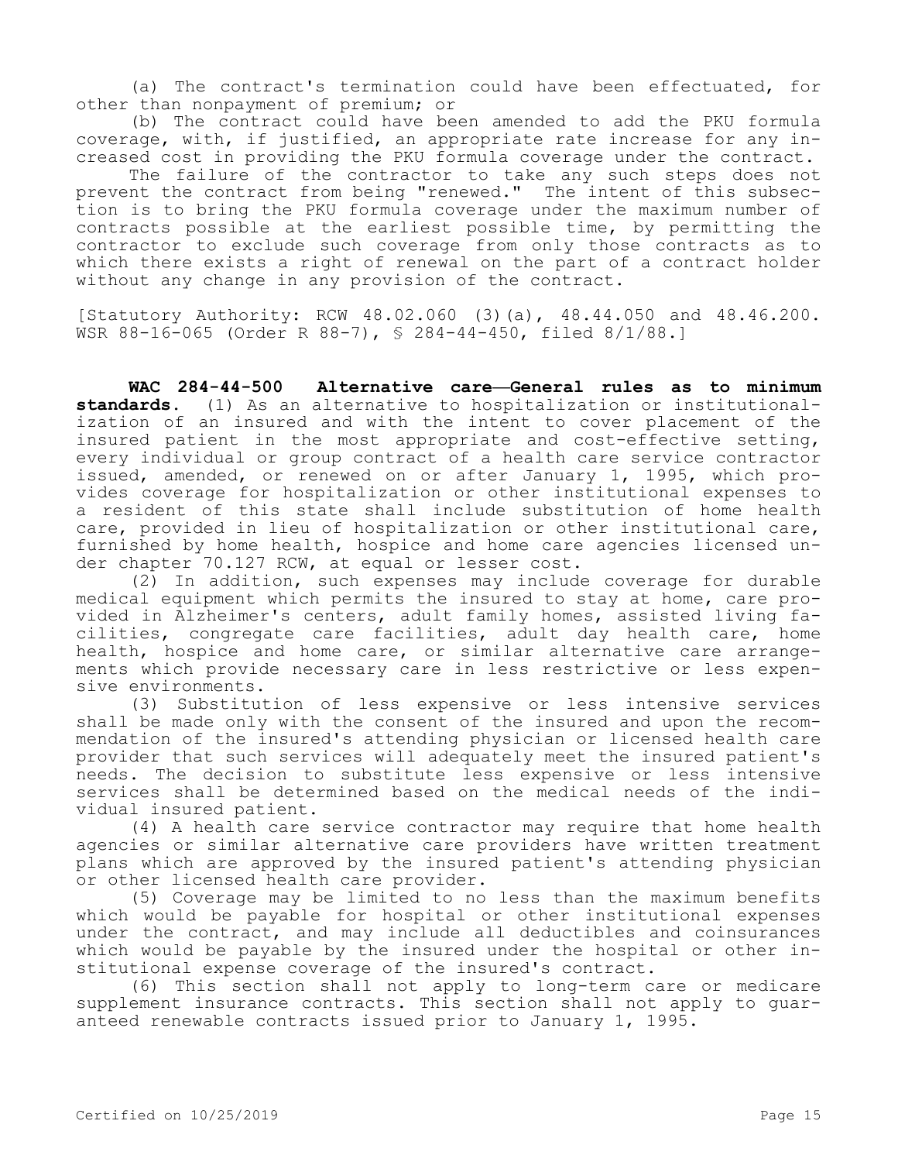(a) The contract's termination could have been effectuated, for other than nonpayment of premium; or

(b) The contract could have been amended to add the PKU formula coverage, with, if justified, an appropriate rate increase for any increased cost in providing the PKU formula coverage under the contract.

The failure of the contractor to take any such steps does not prevent the contract from being "renewed." The intent of this subsection is to bring the PKU formula coverage under the maximum number of contracts possible at the earliest possible time, by permitting the contractor to exclude such coverage from only those contracts as to which there exists a right of renewal on the part of a contract holder without any change in any provision of the contract.

[Statutory Authority: RCW 48.02.060 (3)(a), 48.44.050 and 48.46.200. WSR 88-16-065 (Order R 88-7), § 284-44-450, filed 8/1/88.]

**WAC 284-44-500 Alternative care—General rules as to minimum standards.** (1) As an alternative to hospitalization or institutionalization of an insured and with the intent to cover placement of the insured patient in the most appropriate and cost-effective setting, every individual or group contract of a health care service contractor issued, amended, or renewed on or after January 1, 1995, which provides coverage for hospitalization or other institutional expenses to a resident of this state shall include substitution of home health care, provided in lieu of hospitalization or other institutional care, furnished by home health, hospice and home care agencies licensed under chapter 70.127 RCW, at equal or lesser cost.

(2) In addition, such expenses may include coverage for durable medical equipment which permits the insured to stay at home, care provided in Alzheimer's centers, adult family homes, assisted living facilities, congregate care facilities, adult day health care, home health, hospice and home care, or similar alternative care arrangements which provide necessary care in less restrictive or less expensive environments.

(3) Substitution of less expensive or less intensive services shall be made only with the consent of the insured and upon the recommendation of the insured's attending physician or licensed health care provider that such services will adequately meet the insured patient's needs. The decision to substitute less expensive or less intensive services shall be determined based on the medical needs of the individual insured patient.

(4) A health care service contractor may require that home health agencies or similar alternative care providers have written treatment plans which are approved by the insured patient's attending physician or other licensed health care provider.

(5) Coverage may be limited to no less than the maximum benefits which would be payable for hospital or other institutional expenses under the contract, and may include all deductibles and coinsurances which would be payable by the insured under the hospital or other institutional expense coverage of the insured's contract.

(6) This section shall not apply to long-term care or medicare supplement insurance contracts. This section shall not apply to guaranteed renewable contracts issued prior to January 1, 1995.